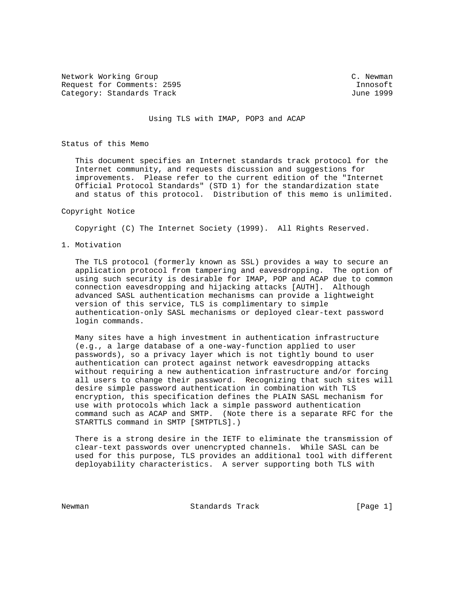Network Working Group C. Newman C. Newman Request for Comments: 2595 Innosoft Category: Standards Track June 1999

## Using TLS with IMAP, POP3 and ACAP

Status of this Memo

 This document specifies an Internet standards track protocol for the Internet community, and requests discussion and suggestions for improvements. Please refer to the current edition of the "Internet Official Protocol Standards" (STD 1) for the standardization state and status of this protocol. Distribution of this memo is unlimited.

#### Copyright Notice

Copyright (C) The Internet Society (1999). All Rights Reserved.

1. Motivation

 The TLS protocol (formerly known as SSL) provides a way to secure an application protocol from tampering and eavesdropping. The option of using such security is desirable for IMAP, POP and ACAP due to common connection eavesdropping and hijacking attacks [AUTH]. Although advanced SASL authentication mechanisms can provide a lightweight version of this service, TLS is complimentary to simple authentication-only SASL mechanisms or deployed clear-text password login commands.

 Many sites have a high investment in authentication infrastructure (e.g., a large database of a one-way-function applied to user passwords), so a privacy layer which is not tightly bound to user authentication can protect against network eavesdropping attacks without requiring a new authentication infrastructure and/or forcing all users to change their password. Recognizing that such sites will desire simple password authentication in combination with TLS encryption, this specification defines the PLAIN SASL mechanism for use with protocols which lack a simple password authentication command such as ACAP and SMTP. (Note there is a separate RFC for the STARTTLS command in SMTP [SMTPTLS].)

 There is a strong desire in the IETF to eliminate the transmission of clear-text passwords over unencrypted channels. While SASL can be used for this purpose, TLS provides an additional tool with different deployability characteristics. A server supporting both TLS with

Newman **Standards Track** 1996 [Page 1]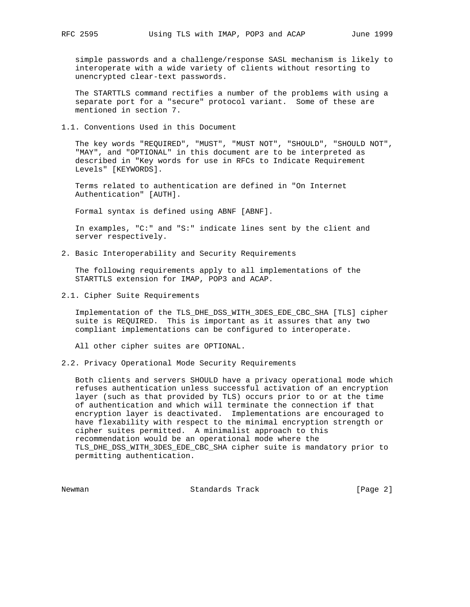simple passwords and a challenge/response SASL mechanism is likely to interoperate with a wide variety of clients without resorting to unencrypted clear-text passwords.

 The STARTTLS command rectifies a number of the problems with using a separate port for a "secure" protocol variant. Some of these are mentioned in section 7.

1.1. Conventions Used in this Document

 The key words "REQUIRED", "MUST", "MUST NOT", "SHOULD", "SHOULD NOT", "MAY", and "OPTIONAL" in this document are to be interpreted as described in "Key words for use in RFCs to Indicate Requirement Levels" [KEYWORDS].

 Terms related to authentication are defined in "On Internet Authentication" [AUTH].

Formal syntax is defined using ABNF [ABNF].

 In examples, "C:" and "S:" indicate lines sent by the client and server respectively.

2. Basic Interoperability and Security Requirements

 The following requirements apply to all implementations of the STARTTLS extension for IMAP, POP3 and ACAP.

2.1. Cipher Suite Requirements

 Implementation of the TLS\_DHE\_DSS\_WITH\_3DES\_EDE\_CBC\_SHA [TLS] cipher suite is REQUIRED. This is important as it assures that any two compliant implementations can be configured to interoperate.

All other cipher suites are OPTIONAL.

2.2. Privacy Operational Mode Security Requirements

 Both clients and servers SHOULD have a privacy operational mode which refuses authentication unless successful activation of an encryption layer (such as that provided by TLS) occurs prior to or at the time of authentication and which will terminate the connection if that encryption layer is deactivated. Implementations are encouraged to have flexability with respect to the minimal encryption strength or cipher suites permitted. A minimalist approach to this recommendation would be an operational mode where the TLS\_DHE\_DSS\_WITH\_3DES\_EDE\_CBC\_SHA cipher suite is mandatory prior to permitting authentication.

Newman Standards Track [Page 2]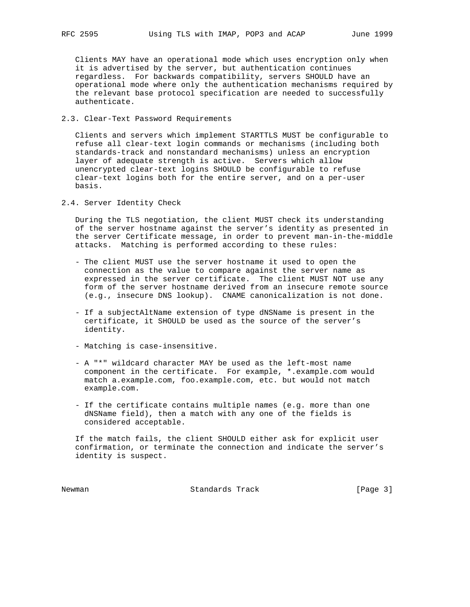Clients MAY have an operational mode which uses encryption only when it is advertised by the server, but authentication continues regardless. For backwards compatibility, servers SHOULD have an operational mode where only the authentication mechanisms required by the relevant base protocol specification are needed to successfully authenticate.

# 2.3. Clear-Text Password Requirements

 Clients and servers which implement STARTTLS MUST be configurable to refuse all clear-text login commands or mechanisms (including both standards-track and nonstandard mechanisms) unless an encryption layer of adequate strength is active. Servers which allow unencrypted clear-text logins SHOULD be configurable to refuse clear-text logins both for the entire server, and on a per-user basis.

2.4. Server Identity Check

 During the TLS negotiation, the client MUST check its understanding of the server hostname against the server's identity as presented in the server Certificate message, in order to prevent man-in-the-middle attacks. Matching is performed according to these rules:

- The client MUST use the server hostname it used to open the connection as the value to compare against the server name as expressed in the server certificate. The client MUST NOT use any form of the server hostname derived from an insecure remote source (e.g., insecure DNS lookup). CNAME canonicalization is not done.
- If a subjectAltName extension of type dNSName is present in the certificate, it SHOULD be used as the source of the server's identity.
- Matching is case-insensitive.
- A "\*" wildcard character MAY be used as the left-most name component in the certificate. For example, \*.example.com would match a.example.com, foo.example.com, etc. but would not match example.com.
- If the certificate contains multiple names (e.g. more than one dNSName field), then a match with any one of the fields is considered acceptable.

 If the match fails, the client SHOULD either ask for explicit user confirmation, or terminate the connection and indicate the server's identity is suspect.

Newman **Standards Track** [Page 3]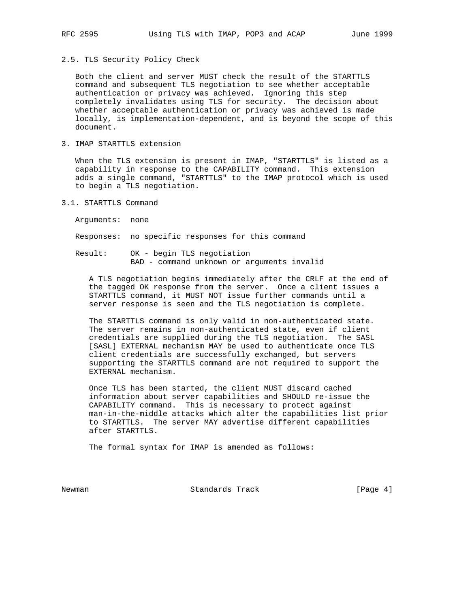2.5. TLS Security Policy Check

 Both the client and server MUST check the result of the STARTTLS command and subsequent TLS negotiation to see whether acceptable authentication or privacy was achieved. Ignoring this step completely invalidates using TLS for security. The decision about whether acceptable authentication or privacy was achieved is made locally, is implementation-dependent, and is beyond the scope of this document.

3. IMAP STARTTLS extension

 When the TLS extension is present in IMAP, "STARTTLS" is listed as a capability in response to the CAPABILITY command. This extension adds a single command, "STARTTLS" to the IMAP protocol which is used to begin a TLS negotiation.

3.1. STARTTLS Command

Arguments: none

Responses: no specific responses for this command

 Result: OK - begin TLS negotiation BAD - command unknown or arguments invalid

 A TLS negotiation begins immediately after the CRLF at the end of the tagged OK response from the server. Once a client issues a STARTTLS command, it MUST NOT issue further commands until a server response is seen and the TLS negotiation is complete.

 The STARTTLS command is only valid in non-authenticated state. The server remains in non-authenticated state, even if client credentials are supplied during the TLS negotiation. The SASL [SASL] EXTERNAL mechanism MAY be used to authenticate once TLS client credentials are successfully exchanged, but servers supporting the STARTTLS command are not required to support the EXTERNAL mechanism.

 Once TLS has been started, the client MUST discard cached information about server capabilities and SHOULD re-issue the CAPABILITY command. This is necessary to protect against man-in-the-middle attacks which alter the capabilities list prior to STARTTLS. The server MAY advertise different capabilities after STARTTLS.

The formal syntax for IMAP is amended as follows:

Newman **Standards Track** [Page 4]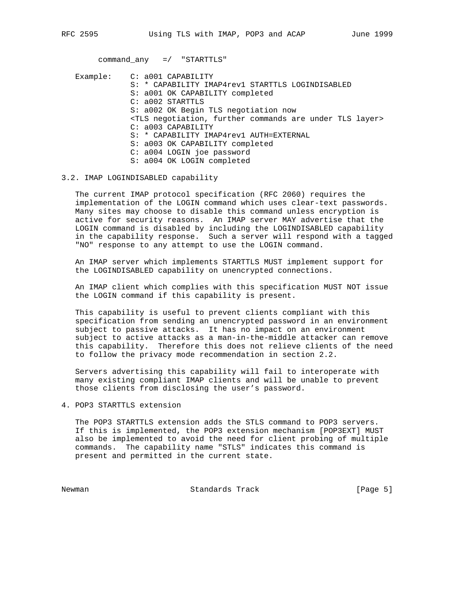command\_any =/ "STARTTLS"

Example: C: a001 CAPABILITY S: \* CAPABILITY IMAP4rev1 STARTTLS LOGINDISABLED S: a001 OK CAPABILITY completed C: a002 STARTTLS S: a002 OK Begin TLS negotiation now <TLS negotiation, further commands are under TLS layer> C: a003 CAPABILITY S: \* CAPABILITY IMAP4rev1 AUTH=EXTERNAL S: a003 OK CAPABILITY completed C: a004 LOGIN joe password S: a004 OK LOGIN completed

## 3.2. IMAP LOGINDISABLED capability

 The current IMAP protocol specification (RFC 2060) requires the implementation of the LOGIN command which uses clear-text passwords. Many sites may choose to disable this command unless encryption is active for security reasons. An IMAP server MAY advertise that the LOGIN command is disabled by including the LOGINDISABLED capability in the capability response. Such a server will respond with a tagged "NO" response to any attempt to use the LOGIN command.

 An IMAP server which implements STARTTLS MUST implement support for the LOGINDISABLED capability on unencrypted connections.

 An IMAP client which complies with this specification MUST NOT issue the LOGIN command if this capability is present.

 This capability is useful to prevent clients compliant with this specification from sending an unencrypted password in an environment subject to passive attacks. It has no impact on an environment subject to active attacks as a man-in-the-middle attacker can remove this capability. Therefore this does not relieve clients of the need to follow the privacy mode recommendation in section 2.2.

 Servers advertising this capability will fail to interoperate with many existing compliant IMAP clients and will be unable to prevent those clients from disclosing the user's password.

4. POP3 STARTTLS extension

 The POP3 STARTTLS extension adds the STLS command to POP3 servers. If this is implemented, the POP3 extension mechanism [POP3EXT] MUST also be implemented to avoid the need for client probing of multiple commands. The capability name "STLS" indicates this command is present and permitted in the current state.

Newman Standards Track [Page 5]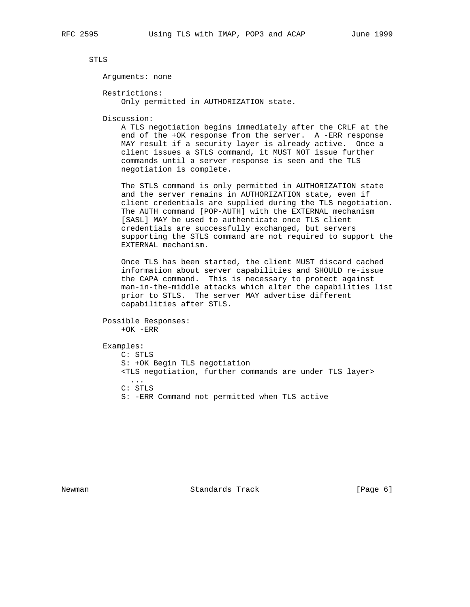STLS

Arguments: none

 Restrictions: Only permitted in AUTHORIZATION state.

Discussion:

 A TLS negotiation begins immediately after the CRLF at the end of the +OK response from the server. A -ERR response MAY result if a security layer is already active. Once a client issues a STLS command, it MUST NOT issue further commands until a server response is seen and the TLS negotiation is complete.

 The STLS command is only permitted in AUTHORIZATION state and the server remains in AUTHORIZATION state, even if client credentials are supplied during the TLS negotiation. The AUTH command [POP-AUTH] with the EXTERNAL mechanism [SASL] MAY be used to authenticate once TLS client credentials are successfully exchanged, but servers supporting the STLS command are not required to support the EXTERNAL mechanism.

 Once TLS has been started, the client MUST discard cached information about server capabilities and SHOULD re-issue the CAPA command. This is necessary to protect against man-in-the-middle attacks which alter the capabilities list prior to STLS. The server MAY advertise different capabilities after STLS.

```
 Possible Responses:
+OK -ERR
```
Examples:

 C: STLS S: +OK Begin TLS negotiation <TLS negotiation, further commands are under TLS layer> ... C: STLS S: -ERR Command not permitted when TLS active

Newman **Standards Track** [Page 6]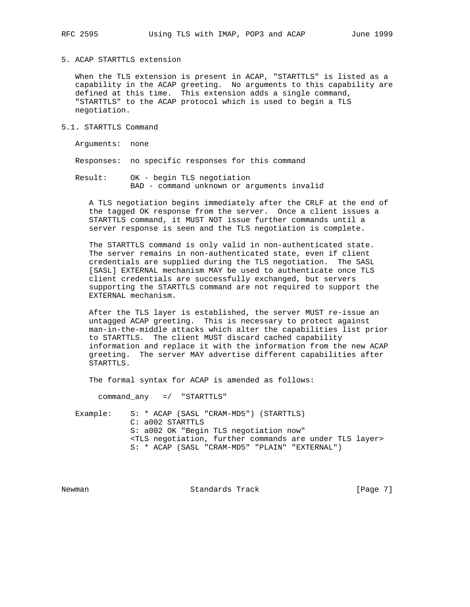5. ACAP STARTTLS extension

 When the TLS extension is present in ACAP, "STARTTLS" is listed as a capability in the ACAP greeting. No arguments to this capability are defined at this time. This extension adds a single command, "STARTTLS" to the ACAP protocol which is used to begin a TLS negotiation.

5.1. STARTTLS Command

Arguments: none

Responses: no specific responses for this command

 Result: OK - begin TLS negotiation BAD - command unknown or arguments invalid

 A TLS negotiation begins immediately after the CRLF at the end of the tagged OK response from the server. Once a client issues a STARTTLS command, it MUST NOT issue further commands until a server response is seen and the TLS negotiation is complete.

 The STARTTLS command is only valid in non-authenticated state. The server remains in non-authenticated state, even if client credentials are supplied during the TLS negotiation. The SASL [SASL] EXTERNAL mechanism MAY be used to authenticate once TLS client credentials are successfully exchanged, but servers supporting the STARTTLS command are not required to support the EXTERNAL mechanism.

 After the TLS layer is established, the server MUST re-issue an untagged ACAP greeting. This is necessary to protect against man-in-the-middle attacks which alter the capabilities list prior to STARTTLS. The client MUST discard cached capability information and replace it with the information from the new ACAP greeting. The server MAY advertise different capabilities after STARTTLS.

The formal syntax for ACAP is amended as follows:

command\_any =/ "STARTTLS"

 Example: S: \* ACAP (SASL "CRAM-MD5") (STARTTLS) C: a002 STARTTLS S: a002 OK "Begin TLS negotiation now" <TLS negotiation, further commands are under TLS layer> S: \* ACAP (SASL "CRAM-MD5" "PLAIN" "EXTERNAL")

Newman **Standards Track** [Page 7]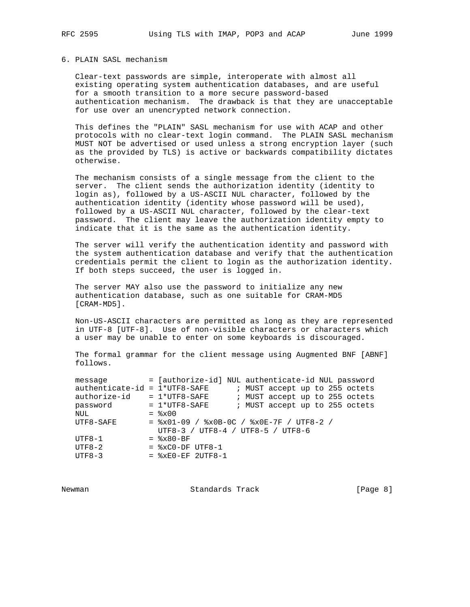# 6. PLAIN SASL mechanism

 Clear-text passwords are simple, interoperate with almost all existing operating system authentication databases, and are useful for a smooth transition to a more secure password-based authentication mechanism. The drawback is that they are unacceptable for use over an unencrypted network connection.

 This defines the "PLAIN" SASL mechanism for use with ACAP and other protocols with no clear-text login command. The PLAIN SASL mechanism MUST NOT be advertised or used unless a strong encryption layer (such as the provided by TLS) is active or backwards compatibility dictates otherwise.

 The mechanism consists of a single message from the client to the server. The client sends the authorization identity (identity to login as), followed by a US-ASCII NUL character, followed by the authentication identity (identity whose password will be used), followed by a US-ASCII NUL character, followed by the clear-text password. The client may leave the authorization identity empty to indicate that it is the same as the authentication identity.

 The server will verify the authentication identity and password with the system authentication database and verify that the authentication credentials permit the client to login as the authorization identity. If both steps succeed, the user is logged in.

 The server MAY also use the password to initialize any new authentication database, such as one suitable for CRAM-MD5 [CRAM-MD5].

 Non-US-ASCII characters are permitted as long as they are represented in UTF-8 [UTF-8]. Use of non-visible characters or characters which a user may be unable to enter on some keyboards is discouraged.

 The formal grammar for the client message using Augmented BNF [ABNF] follows.

| message                         | = [authorize-id] NUL authenticate-id NUL password |  |  |                                |  |  |  |  |  |  |
|---------------------------------|---------------------------------------------------|--|--|--------------------------------|--|--|--|--|--|--|
| $authenticate-id = 1*UTF8-SAFF$ |                                                   |  |  | ; MUST accept up to 255 octets |  |  |  |  |  |  |
| authorize-id                    | $= 1*UTF8-SAFF$                                   |  |  | ; MUST accept up to 255 octets |  |  |  |  |  |  |
| password                        | $= 1*UTF8-SAFF$                                   |  |  | ; MUST accept up to 255 octets |  |  |  |  |  |  |
| NUL                             | $=$ $\frac{8 \times 00}{ }$                       |  |  |                                |  |  |  |  |  |  |
| $UTF8-SAFF$                     | $=$ $x01-09$ / $x0B-0C$ / $x0E-7F$ / UTF8-2 /     |  |  |                                |  |  |  |  |  |  |
|                                 | UTF8-3 / UTF8-4 / UTF8-5 / UTF8-6                 |  |  |                                |  |  |  |  |  |  |
| $UTF8-1$                        | $=$ $8x80-BF$                                     |  |  |                                |  |  |  |  |  |  |
| $UTF8-2$                        | $=$ $xC0-DF$ UTF8-1                               |  |  |                                |  |  |  |  |  |  |
| $UTF8-3$                        | $=$ $xE0-EF$ 2UTF8-1                              |  |  |                                |  |  |  |  |  |  |
|                                 |                                                   |  |  |                                |  |  |  |  |  |  |

Newman **Standards Track** [Page 8]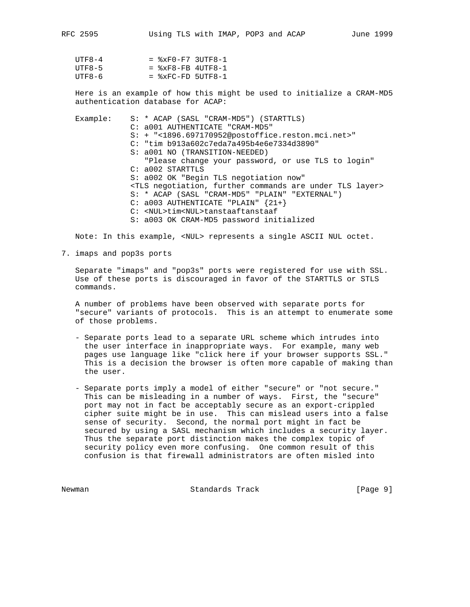| $UTF8-4$ | $=$ $xF0-F7$ 3UTF8-1 |  |
|----------|----------------------|--|
| UTF8-5   | $=$ $xF8-FB$ 4UTF8-1 |  |
| UTF8-6   | $=$ $xFC-FD$ 5UTF8-1 |  |

 Here is an example of how this might be used to initialize a CRAM-MD5 authentication database for ACAP:

 Example: S: \* ACAP (SASL "CRAM-MD5") (STARTTLS) C: a001 AUTHENTICATE "CRAM-MD5" S: + "<1896.697170952@postoffice.reston.mci.net>" C: "tim b913a602c7eda7a495b4e6e7334d3890" S: a001 NO (TRANSITION-NEEDED) "Please change your password, or use TLS to login" C: a002 STARTTLS S: a002 OK "Begin TLS negotiation now" <TLS negotiation, further commands are under TLS layer> S: \* ACAP (SASL "CRAM-MD5" "PLAIN" "EXTERNAL") C: a003 AUTHENTICATE "PLAIN" {21+} C: <NUL>tim<NUL>tanstaaftanstaaf S: a003 OK CRAM-MD5 password initialized

Note: In this example, <NUL> represents a single ASCII NUL octet.

7. imaps and pop3s ports

 Separate "imaps" and "pop3s" ports were registered for use with SSL. Use of these ports is discouraged in favor of the STARTTLS or STLS commands.

 A number of problems have been observed with separate ports for "secure" variants of protocols. This is an attempt to enumerate some of those problems.

- Separate ports lead to a separate URL scheme which intrudes into the user interface in inappropriate ways. For example, many web pages use language like "click here if your browser supports SSL." This is a decision the browser is often more capable of making than the user.
- Separate ports imply a model of either "secure" or "not secure." This can be misleading in a number of ways. First, the "secure" port may not in fact be acceptably secure as an export-crippled cipher suite might be in use. This can mislead users into a false sense of security. Second, the normal port might in fact be secured by using a SASL mechanism which includes a security layer. Thus the separate port distinction makes the complex topic of security policy even more confusing. One common result of this confusion is that firewall administrators are often misled into

Newman **Standards Track** [Page 9]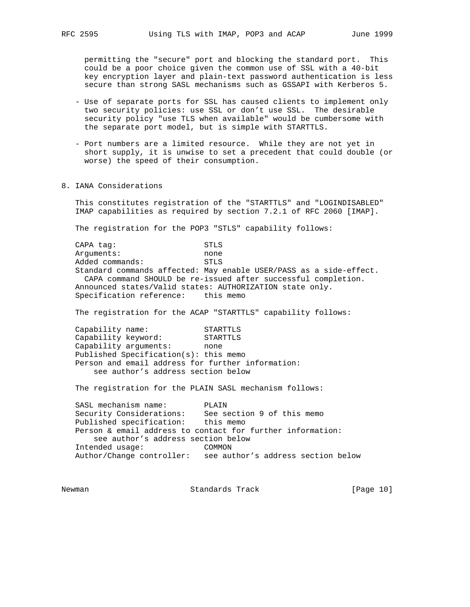permitting the "secure" port and blocking the standard port. This could be a poor choice given the common use of SSL with a 40-bit key encryption layer and plain-text password authentication is less secure than strong SASL mechanisms such as GSSAPI with Kerberos 5.

- Use of separate ports for SSL has caused clients to implement only two security policies: use SSL or don't use SSL. The desirable security policy "use TLS when available" would be cumbersome with the separate port model, but is simple with STARTTLS.
- Port numbers are a limited resource. While they are not yet in short supply, it is unwise to set a precedent that could double (or worse) the speed of their consumption.
- 8. IANA Considerations

 This constitutes registration of the "STARTTLS" and "LOGINDISABLED" IMAP capabilities as required by section 7.2.1 of RFC 2060 [IMAP].

The registration for the POP3 "STLS" capability follows:

CAPA tag: STLS Arguments: none Added commands: STLS Standard commands affected: May enable USER/PASS as a side-effect. CAPA command SHOULD be re-issued after successful completion. Announced states/Valid states: AUTHORIZATION state only. Specification reference: this memo

The registration for the ACAP "STARTTLS" capability follows:

Capability name: STARTTLS<br>Capability keyword: STARTTLS Capability keyword: STARTTLS Capability arguments: none Published Specification(s): this memo Person and email address for further information: see author's address section below

The registration for the PLAIN SASL mechanism follows:

 SASL mechanism name: PLAIN Security Considerations: See section 9 of this memo Published specification: this memo Person & email address to contact for further information: see author's address section below Intended usage: COMMON Author/Change controller: see author's address section below

Newman Standards Track [Page 10]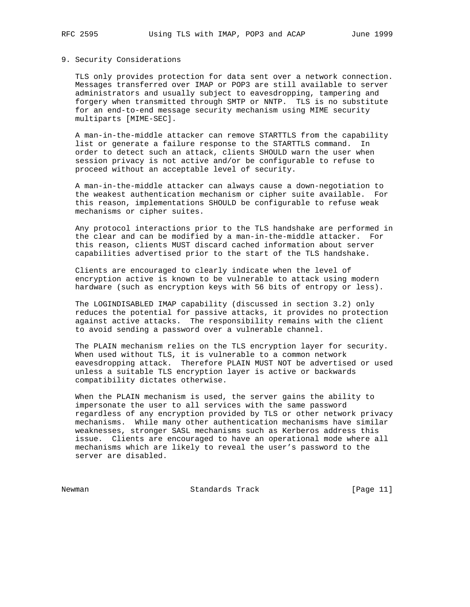### 9. Security Considerations

 TLS only provides protection for data sent over a network connection. Messages transferred over IMAP or POP3 are still available to server administrators and usually subject to eavesdropping, tampering and forgery when transmitted through SMTP or NNTP. TLS is no substitute for an end-to-end message security mechanism using MIME security multiparts [MIME-SEC].

 A man-in-the-middle attacker can remove STARTTLS from the capability list or generate a failure response to the STARTTLS command. In order to detect such an attack, clients SHOULD warn the user when session privacy is not active and/or be configurable to refuse to proceed without an acceptable level of security.

 A man-in-the-middle attacker can always cause a down-negotiation to the weakest authentication mechanism or cipher suite available. For this reason, implementations SHOULD be configurable to refuse weak mechanisms or cipher suites.

 Any protocol interactions prior to the TLS handshake are performed in the clear and can be modified by a man-in-the-middle attacker. For this reason, clients MUST discard cached information about server capabilities advertised prior to the start of the TLS handshake.

 Clients are encouraged to clearly indicate when the level of encryption active is known to be vulnerable to attack using modern hardware (such as encryption keys with 56 bits of entropy or less).

 The LOGINDISABLED IMAP capability (discussed in section 3.2) only reduces the potential for passive attacks, it provides no protection against active attacks. The responsibility remains with the client to avoid sending a password over a vulnerable channel.

 The PLAIN mechanism relies on the TLS encryption layer for security. When used without TLS, it is vulnerable to a common network eavesdropping attack. Therefore PLAIN MUST NOT be advertised or used unless a suitable TLS encryption layer is active or backwards compatibility dictates otherwise.

 When the PLAIN mechanism is used, the server gains the ability to impersonate the user to all services with the same password regardless of any encryption provided by TLS or other network privacy mechanisms. While many other authentication mechanisms have similar weaknesses, stronger SASL mechanisms such as Kerberos address this issue. Clients are encouraged to have an operational mode where all mechanisms which are likely to reveal the user's password to the server are disabled.

Newman Standards Track [Page 11]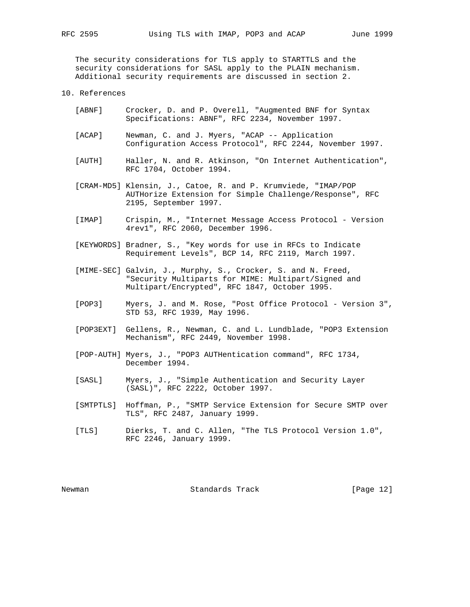The security considerations for TLS apply to STARTTLS and the security considerations for SASL apply to the PLAIN mechanism. Additional security requirements are discussed in section 2.

- 10. References
	- [ABNF] Crocker, D. and P. Overell, "Augmented BNF for Syntax Specifications: ABNF", RFC 2234, November 1997.
	- [ACAP] Newman, C. and J. Myers, "ACAP -- Application Configuration Access Protocol", RFC 2244, November 1997.
	- [AUTH] Haller, N. and R. Atkinson, "On Internet Authentication", RFC 1704, October 1994.
	- [CRAM-MD5] Klensin, J., Catoe, R. and P. Krumviede, "IMAP/POP AUTHorize Extension for Simple Challenge/Response", RFC 2195, September 1997.
	- [IMAP] Crispin, M., "Internet Message Access Protocol Version 4rev1", RFC 2060, December 1996.
	- [KEYWORDS] Bradner, S., "Key words for use in RFCs to Indicate Requirement Levels", BCP 14, RFC 2119, March 1997.
	- [MIME-SEC] Galvin, J., Murphy, S., Crocker, S. and N. Freed, "Security Multiparts for MIME: Multipart/Signed and Multipart/Encrypted", RFC 1847, October 1995.
	- [POP3] Myers, J. and M. Rose, "Post Office Protocol Version 3", STD 53, RFC 1939, May 1996.
	- [POP3EXT] Gellens, R., Newman, C. and L. Lundblade, "POP3 Extension Mechanism", RFC 2449, November 1998.
	- [POP-AUTH] Myers, J., "POP3 AUTHentication command", RFC 1734, December 1994.
	- [SASL] Myers, J., "Simple Authentication and Security Layer (SASL)", RFC 2222, October 1997.
	- [SMTPTLS] Hoffman, P., "SMTP Service Extension for Secure SMTP over TLS", RFC 2487, January 1999.
	- [TLS] Dierks, T. and C. Allen, "The TLS Protocol Version 1.0", RFC 2246, January 1999.

Newman **Standards Track** [Page 12]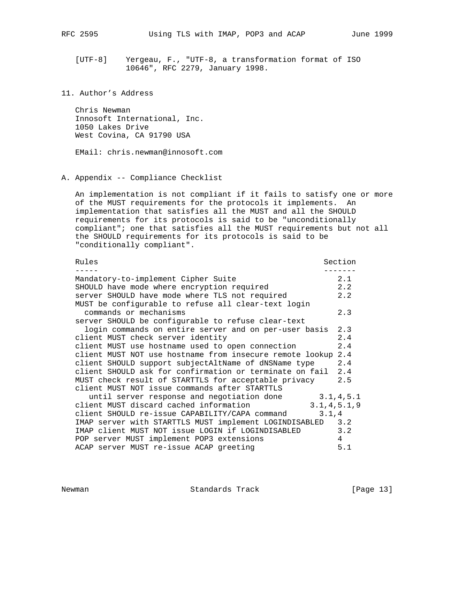[UTF-8] Yergeau, F., "UTF-8, a transformation format of ISO 10646", RFC 2279, January 1998.

 Chris Newman Innosoft International, Inc. 1050 Lakes Drive West Covina, CA 91790 USA

EMail: chris.newman@innosoft.com

A. Appendix -- Compliance Checklist

 An implementation is not compliant if it fails to satisfy one or more of the MUST requirements for the protocols it implements. An implementation that satisfies all the MUST and all the SHOULD requirements for its protocols is said to be "unconditionally compliant"; one that satisfies all the MUST requirements but not all the SHOULD requirements for its protocols is said to be "conditionally compliant".

| Rules                                                        | Section      |
|--------------------------------------------------------------|--------------|
| Mandatory-to-implement Cipher Suite                          | 2.1          |
| SHOULD have mode where encryption required                   | 2.2          |
| server SHOULD have mode where TLS not required               | 2.2          |
| MUST be configurable to refuse all clear-text login          |              |
| commands or mechanisms                                       | 2.3          |
| server SHOULD be configurable to refuse clear-text           |              |
| login commands on entire server and on per-user basis        | 2.3          |
| client MUST check server identity                            | 2.4          |
| client MUST use hostname used to open connection             | 2.4          |
| client MUST NOT use hostname from insecure remote lookup 2.4 |              |
| client SHOULD support subjectAltName of dNSName type         | 2.4          |
| client SHOULD ask for confirmation or terminate on fail 2.4  |              |
| MUST check result of STARTTLS for acceptable privacy         | 2.5          |
| client MUST NOT issue commands after STARTTLS                |              |
| until server response and negotiation done                   | 3.1, 4.5.1   |
| client MUST discard cached information                       | 3.1, 4.5.1.9 |
| client SHOULD re-issue CAPABILITY/CAPA command               | 3.1,4        |
| IMAP server with STARTTLS MUST implement LOGINDISABLED 3.2   |              |
| IMAP client MUST NOT issue LOGIN if LOGINDISABLED            | 3.2          |
| POP server MUST implement POP3 extensions                    | 4            |
| ACAP server MUST re-issue ACAP greeting                      | 5.1          |
|                                                              |              |

Newman Standards Track [Page 13]

<sup>11.</sup> Author's Address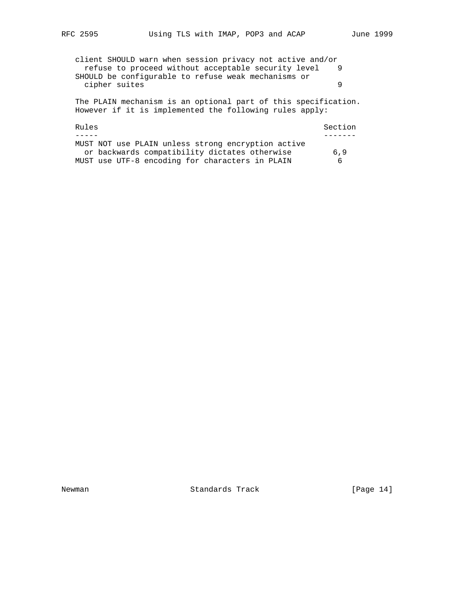client SHOULD warn when session privacy not active and/or refuse to proceed without acceptable security level 9 SHOULD be configurable to refuse weak mechanisms or cipher suites 9 The PLAIN mechanism is an optional part of this specification. However if it is implemented the following rules apply: Rules Section and Section Section and Section Section Section Section Section Section Section Section Section Section Section Section Section Section Section Section Section Section Section Section Section Section Section ----- -------

|  |  |  |                                                 | MUST NOT use PLAIN unless strong encryption active |     |  |
|--|--|--|-------------------------------------------------|----------------------------------------------------|-----|--|
|  |  |  | or backwards compatibility dictates otherwise   |                                                    | 6.9 |  |
|  |  |  | MUST use UTF-8 encoding for characters in PLAIN |                                                    | - 6 |  |

Newman Standards Track [Page 14]